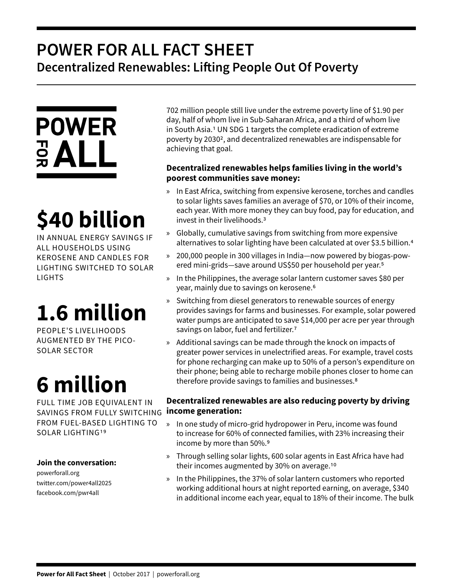## **POWER FOR ALL FACT SHEET Decentralized Renewables: Lifting People Out Of Poverty**



# **\$40 billion**

IN ANNUAL ENERGY SAVINGS IF ALL HOUSEHOLDS USING KEROSENE AND CANDLES FOR LIGHTING SWITCHED TO SOLAR LIGHTS

## **1.6 million**

PEOPLE'S LIVELIHOODS AUGMENTED BY THE PICO-SOLAR SECTOR

## **6 million**

FULL TIME JOB EQUIVALENT IN SAVINGS FROM FULLY SWITCHING FROM FUEL-BASED LIGHTING TO SOLAR LIGHTING19

#### **Join the conversation:**

powerforall.org twitter.com/power4all2025 facebook.com/pwr4all

702 million people still live under the extreme poverty line of \$1.90 per day, half of whom live in Sub-Saharan Africa, and a third of whom live in South Asia.1 UN SDG 1 targets the complete eradication of extreme poverty by 20302, and decentralized renewables are indispensable for achieving that goal.

### **Decentralized renewables helps families living in the world's poorest communities save money:**

- » In East Africa, switching from expensive kerosene, torches and candles to solar lights saves families an average of \$70, or 10% of their income, each year. With more money they can buy food, pay for education, and invest in their livelihoods.3
- » Globally, cumulative savings from switching from more expensive alternatives to solar lighting have been calculated at over \$3.5 billion.4
- » 200,000 people in 300 villages in India—now powered by biogas-powered mini-grids—save around US\$50 per household per year.5
- » In the Philippines, the average solar lantern customer saves \$80 per year, mainly due to savings on kerosene.6
- » Switching from diesel generators to renewable sources of energy provides savings for farms and businesses. For example, solar powered water pumps are anticipated to save \$14,000 per acre per year through savings on labor, fuel and fertilizer.<sup>7</sup>
- » Additional savings can be made through the knock on impacts of greater power services in unelectrified areas. For example, travel costs for phone recharging can make up to 50% of a person's expenditure on their phone; being able to recharge mobile phones closer to home can therefore provide savings to families and businesses.8

### **Decentralized renewables are also reducing poverty by driving income generation:**

- » In one study of micro-grid hydropower in Peru, income was found to increase for 60% of connected families, with 23% increasing their income by more than 50%.9
- » Through selling solar lights, 600 solar agents in East Africa have had their incomes augmented by 30% on average.10
- » In the Philippines, the 37% of solar lantern customers who reported working additional hours at night reported earning, on average, \$340 in additional income each year, equal to 18% of their income. The bulk